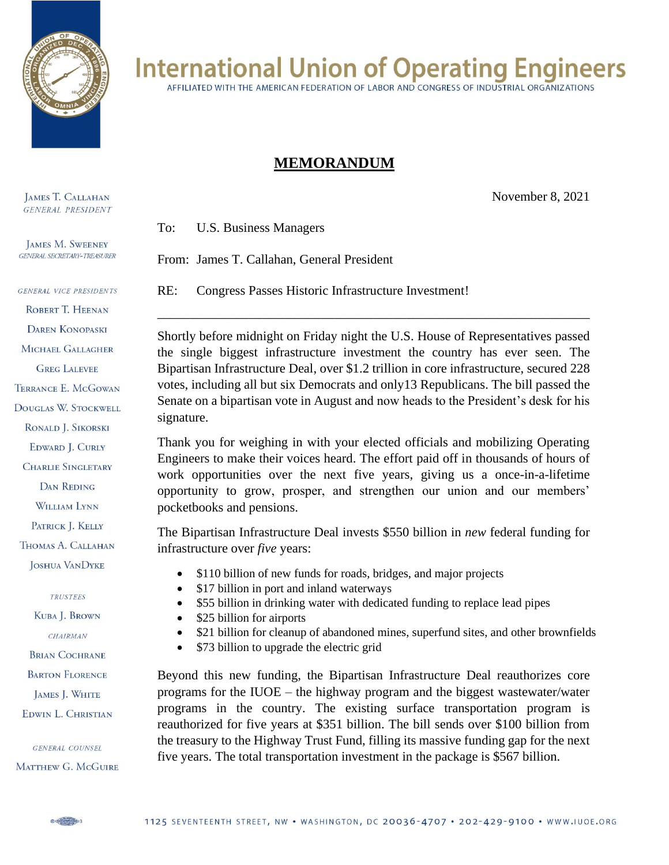

## **International Union of Operating Engineers**

AFFILIATED WITH THE AMERICAN FEDERATION OF LABOR AND CONGRESS OF INDUSTRIAL ORGANIZATIONS

## **MEMORANDUM**

November 8, 2021

To: U.S. Business Managers

From: James T. Callahan, General President

RE: Congress Passes Historic Infrastructure Investment!

Shortly before midnight on Friday night the U.S. House of Representatives passed the single biggest infrastructure investment the country has ever seen. The Bipartisan Infrastructure Deal, over \$1.2 trillion in core infrastructure, secured 228 votes, including all but six Democrats and only13 Republicans. The bill passed the Senate on a bipartisan vote in August and now heads to the President's desk for his signature.

\_\_\_\_\_\_\_\_\_\_\_\_\_\_\_\_\_\_\_\_\_\_\_\_\_\_\_\_\_\_\_\_\_\_\_\_\_\_\_\_\_\_\_\_\_\_\_\_\_\_\_\_\_\_\_\_\_\_\_\_\_\_\_\_\_\_

Thank you for weighing in with your elected officials and mobilizing Operating Engineers to make their voices heard. The effort paid off in thousands of hours of work opportunities over the next five years, giving us a once-in-a-lifetime opportunity to grow, prosper, and strengthen our union and our members' pocketbooks and pensions.

The Bipartisan Infrastructure Deal invests \$550 billion in *new* federal funding for infrastructure over *five* years:

- \$110 billion of new funds for roads, bridges, and major projects
- \$17 billion in port and inland waterways
- \$55 billion in drinking water with dedicated funding to replace lead pipes
- \$25 billion for airports
- \$21 billion for cleanup of abandoned mines, superfund sites, and other brownfields
- \$73 billion to upgrade the electric grid

Beyond this new funding, the Bipartisan Infrastructure Deal reauthorizes core programs for the IUOE – the highway program and the biggest wastewater/water programs in the country. The existing surface transportation program is reauthorized for five years at \$351 billion. The bill sends over \$100 billion from the treasury to the Highway Trust Fund, filling its massive funding gap for the next five years. The total transportation investment in the package is \$567 billion.

**JAMES T. CALLAHAN GENERAL PRESIDENT** 

**JAMES M. SWEENEY GENERAL SECRETARY-TREASURER** 

**GENERAL VICE PRESIDENTS** ROBERT T. HEENAN **DAREN KONOPASKI** MICHAEL GALLAGHER **GREG LALEVEE** TERRANCE E. McGOWAN DOUGLAS W. STOCKWELL RONALD J. SIKORSKI EDWARD J. CURLY **CHARLIE SINGLETARY DAN REDING** WILLIAM LYNN PATRICK J. KELLY THOMAS A. CALLAHAN **JOSHUA VANDYKE TRUSTEES** KUBA J. BROWN CHAIRMAN

**BRIAN COCHRANE** 

**BARTON FLORENCE** 

JAMES J. WHITE

EDWIN L. CHRISTIAN

**GENERAL COUNSEL** 

MATTHEW G. MCGUIRE